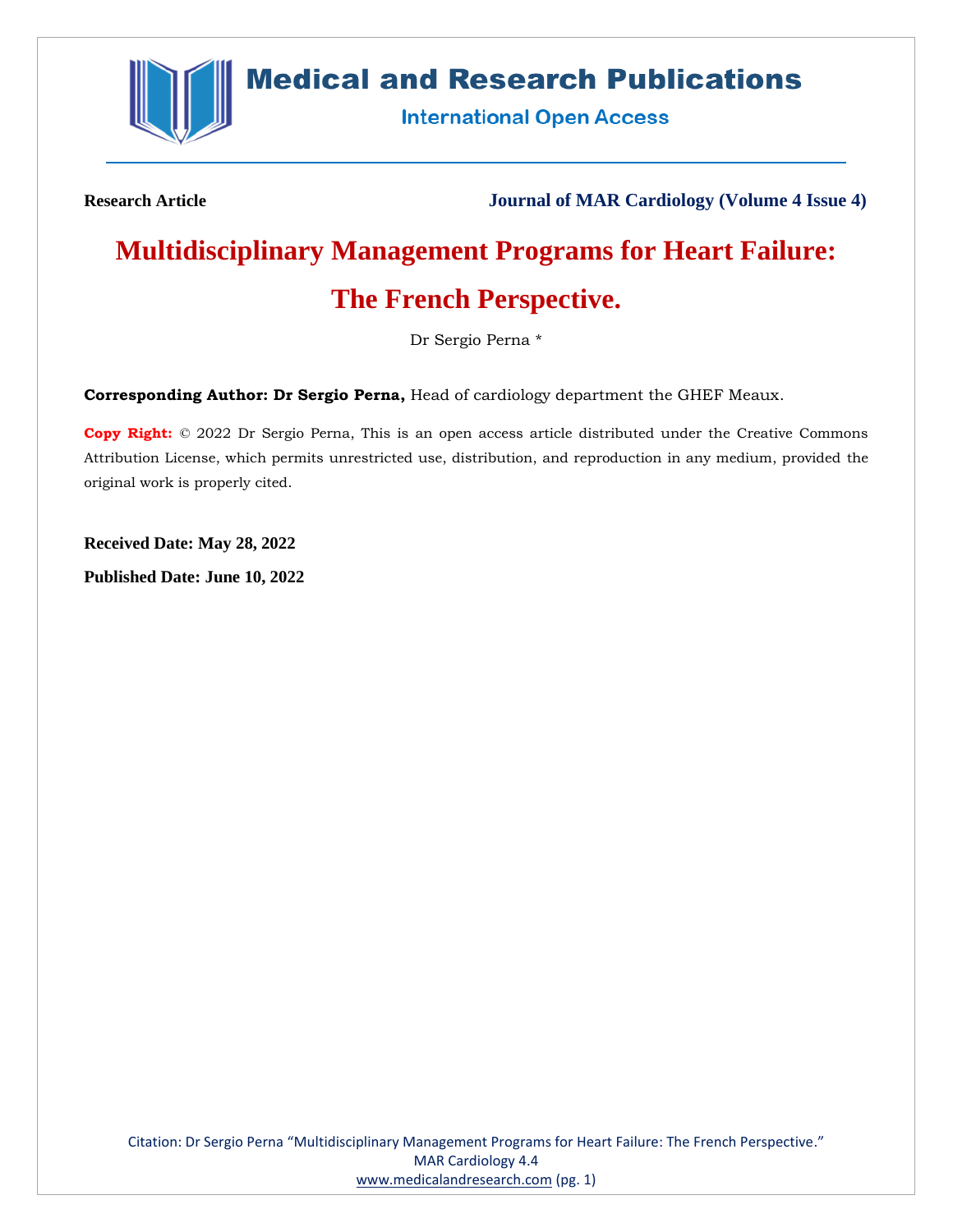

# **Medical and Research Publications**

**International Open Access** 

**Research Article Journal of MAR Cardiology (Volume 4 Issue 4)**

# **Multidisciplinary Management Programs for Heart Failure:**

# **The French Perspective.**

Dr Sergio Perna \*

**Corresponding Author: Dr Sergio Perna,** Head of cardiology department the GHEF Meaux.

**Copy Right:** © 2022 Dr Sergio Perna, This is an open access article distributed under the Creative Commons Attribution License, which permits unrestricted use, distribution, and reproduction in any medium, provided the original work is properly cited.

**Received Date: May 28, 2022**

**Published Date: June 10, 2022**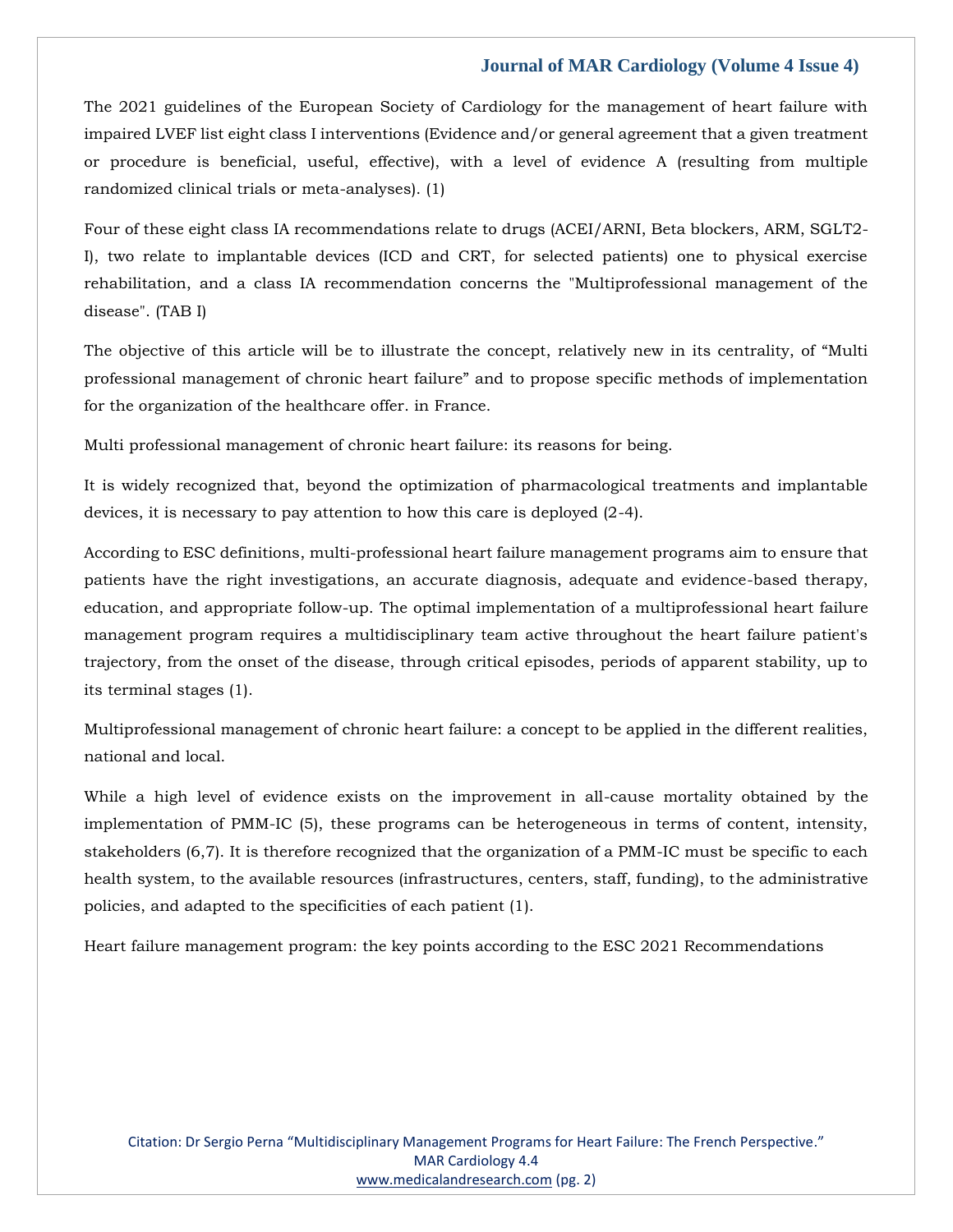The 2021 guidelines of the European Society of Cardiology for the management of heart failure with impaired LVEF list eight class I interventions (Evidence and/or general agreement that a given treatment or procedure is beneficial, useful, effective), with a level of evidence A (resulting from multiple randomized clinical trials or meta-analyses). (1)

Four of these eight class IA recommendations relate to drugs (ACEI/ARNI, Beta blockers, ARM, SGLT2- I), two relate to implantable devices (ICD and CRT, for selected patients) one to physical exercise rehabilitation, and a class IA recommendation concerns the "Multiprofessional management of the disease". (TAB I)

The objective of this article will be to illustrate the concept, relatively new in its centrality, of "Multi professional management of chronic heart failure" and to propose specific methods of implementation for the organization of the healthcare offer. in France.

Multi professional management of chronic heart failure: its reasons for being.

It is widely recognized that, beyond the optimization of pharmacological treatments and implantable devices, it is necessary to pay attention to how this care is deployed (2-4).

According to ESC definitions, multi-professional heart failure management programs aim to ensure that patients have the right investigations, an accurate diagnosis, adequate and evidence-based therapy, education, and appropriate follow-up. The optimal implementation of a multiprofessional heart failure management program requires a multidisciplinary team active throughout the heart failure patient's trajectory, from the onset of the disease, through critical episodes, periods of apparent stability, up to its terminal stages (1).

Multiprofessional management of chronic heart failure: a concept to be applied in the different realities, national and local.

While a high level of evidence exists on the improvement in all-cause mortality obtained by the implementation of PMM-IC (5), these programs can be heterogeneous in terms of content, intensity, stakeholders (6,7). It is therefore recognized that the organization of a PMM-IC must be specific to each health system, to the available resources (infrastructures, centers, staff, funding), to the administrative policies, and adapted to the specificities of each patient (1).

Heart failure management program: the key points according to the ESC 2021 Recommendations

Citation: Dr Sergio Perna "Multidisciplinary Management Programs for Heart Failure: The French Perspective." MAR Cardiology 4.4 [www.medicalandresearch.com](http://www.medicalandresearch.com/) (pg. 2)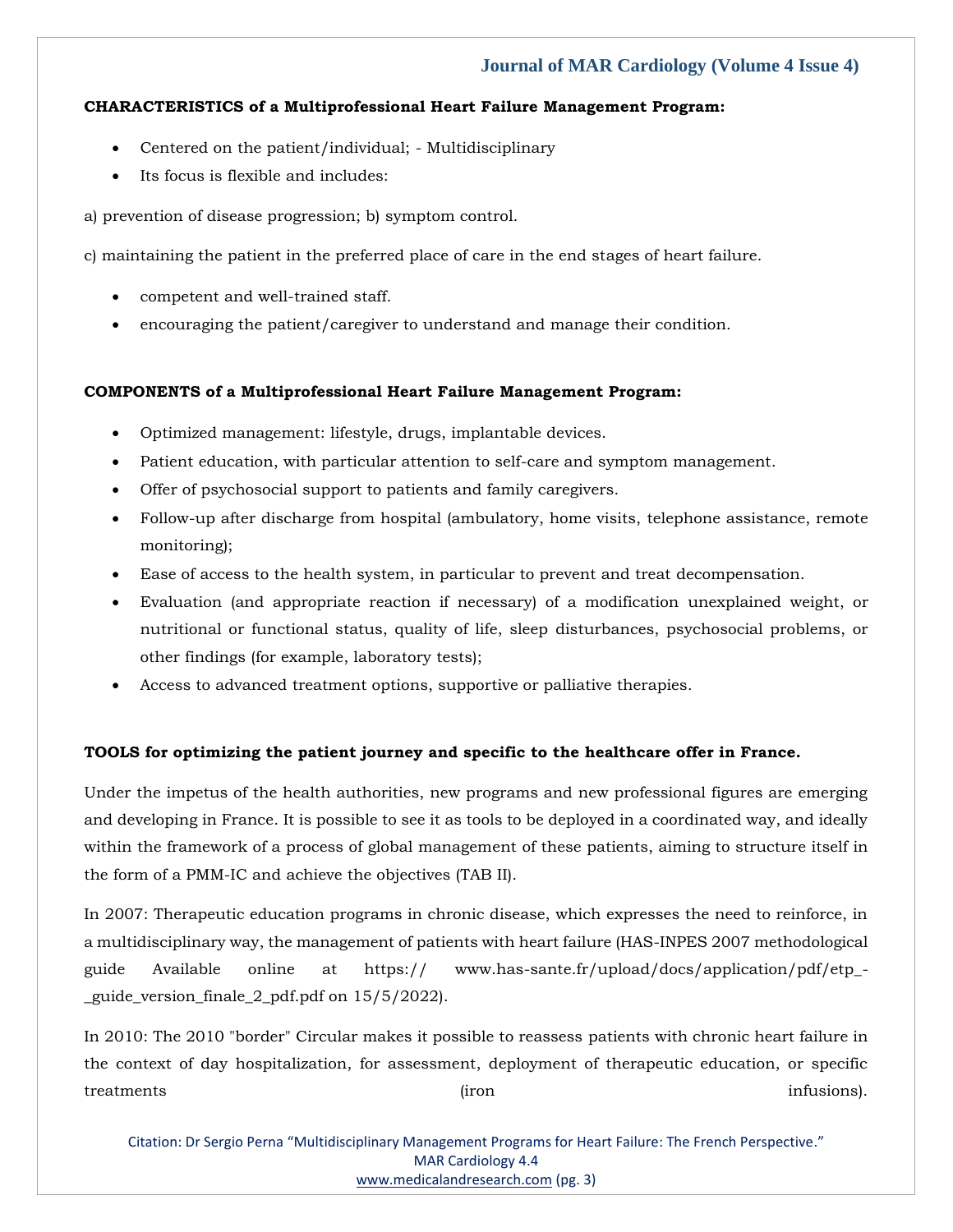#### **CHARACTERISTICS of a Multiprofessional Heart Failure Management Program:**

- Centered on the patient/individual; Multidisciplinary
- Its focus is flexible and includes:

a) prevention of disease progression; b) symptom control.

c) maintaining the patient in the preferred place of care in the end stages of heart failure.

- competent and well-trained staff.
- encouraging the patient/caregiver to understand and manage their condition.

#### **COMPONENTS of a Multiprofessional Heart Failure Management Program:**

- Optimized management: lifestyle, drugs, implantable devices.
- Patient education, with particular attention to self-care and symptom management.
- Offer of psychosocial support to patients and family caregivers.
- Follow-up after discharge from hospital (ambulatory, home visits, telephone assistance, remote monitoring);
- Ease of access to the health system, in particular to prevent and treat decompensation.
- Evaluation (and appropriate reaction if necessary) of a modification unexplained weight, or nutritional or functional status, quality of life, sleep disturbances, psychosocial problems, or other findings (for example, laboratory tests);
- Access to advanced treatment options, supportive or palliative therapies.

### **TOOLS for optimizing the patient journey and specific to the healthcare offer in France.**

Under the impetus of the health authorities, new programs and new professional figures are emerging and developing in France. It is possible to see it as tools to be deployed in a coordinated way, and ideally within the framework of a process of global management of these patients, aiming to structure itself in the form of a PMM-IC and achieve the objectives (TAB II).

In 2007: Therapeutic education programs in chronic disease, which expresses the need to reinforce, in a multidisciplinary way, the management of patients with heart failure (HAS-INPES 2007 methodological guide Available online at https:// www.has-sante.fr/upload/docs/application/pdf/etp\_- \_guide\_version\_finale\_2\_pdf.pdf on 15/5/2022).

In 2010: The 2010 "border" Circular makes it possible to reassess patients with chronic heart failure in the context of day hospitalization, for assessment, deployment of therapeutic education, or specific treatments infusions). The infusions of the contract of the contract of the infusions).

Citation: Dr Sergio Perna "Multidisciplinary Management Programs for Heart Failure: The French Perspective." MAR Cardiology 4.4 [www.medicalandresearch.com](http://www.medicalandresearch.com/) (pg. 3)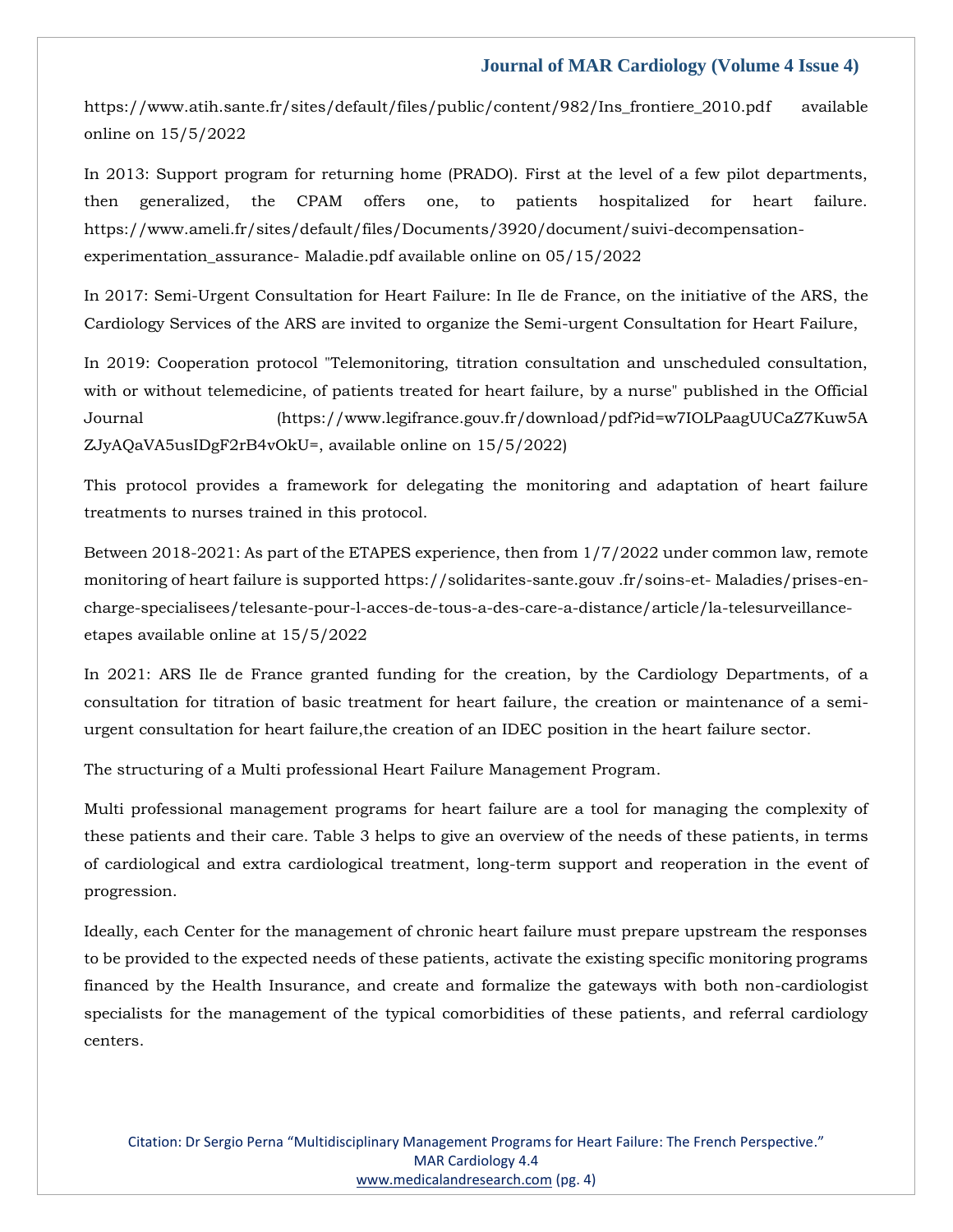https://www.atih.sante.fr/sites/default/files/public/content/982/Ins\_frontiere\_2010.pdf available online on 15/5/2022

In 2013: Support program for returning home (PRADO). First at the level of a few pilot departments, then generalized, the CPAM offers one, to patients hospitalized for heart failure. https://www.ameli.fr/sites/default/files/Documents/3920/document/suivi-decompensationexperimentation\_assurance- Maladie.pdf available online on 05/15/2022

In 2017: Semi-Urgent Consultation for Heart Failure: In Ile de France, on the initiative of the ARS, the Cardiology Services of the ARS are invited to organize the Semi-urgent Consultation for Heart Failure,

In 2019: Cooperation protocol "Telemonitoring, titration consultation and unscheduled consultation, with or without telemedicine, of patients treated for heart failure, by a nurse" published in the Official Journal (https://www.legifrance.gouv.fr/download/pdf?id=w7IOLPaagUUCaZ7Kuw5A ZJyAQaVA5usIDgF2rB4vOkU=, available online on 15/5/2022)

This protocol provides a framework for delegating the monitoring and adaptation of heart failure treatments to nurses trained in this protocol.

Between 2018-2021: As part of the ETAPES experience, then from 1/7/2022 under common law, remote monitoring of heart failure is supported https://solidarites-sante.gouv .fr/soins-et- Maladies/prises-encharge-specialisees/telesante-pour-l-acces-de-tous-a-des-care-a-distance/article/la-telesurveillanceetapes available online at 15/5/2022

In 2021: ARS Ile de France granted funding for the creation, by the Cardiology Departments, of a consultation for titration of basic treatment for heart failure, the creation or maintenance of a semiurgent consultation for heart failure,the creation of an IDEC position in the heart failure sector.

The structuring of a Multi professional Heart Failure Management Program.

Multi professional management programs for heart failure are a tool for managing the complexity of these patients and their care. Table 3 helps to give an overview of the needs of these patients, in terms of cardiological and extra cardiological treatment, long-term support and reoperation in the event of progression.

Ideally, each Center for the management of chronic heart failure must prepare upstream the responses to be provided to the expected needs of these patients, activate the existing specific monitoring programs financed by the Health Insurance, and create and formalize the gateways with both non-cardiologist specialists for the management of the typical comorbidities of these patients, and referral cardiology centers.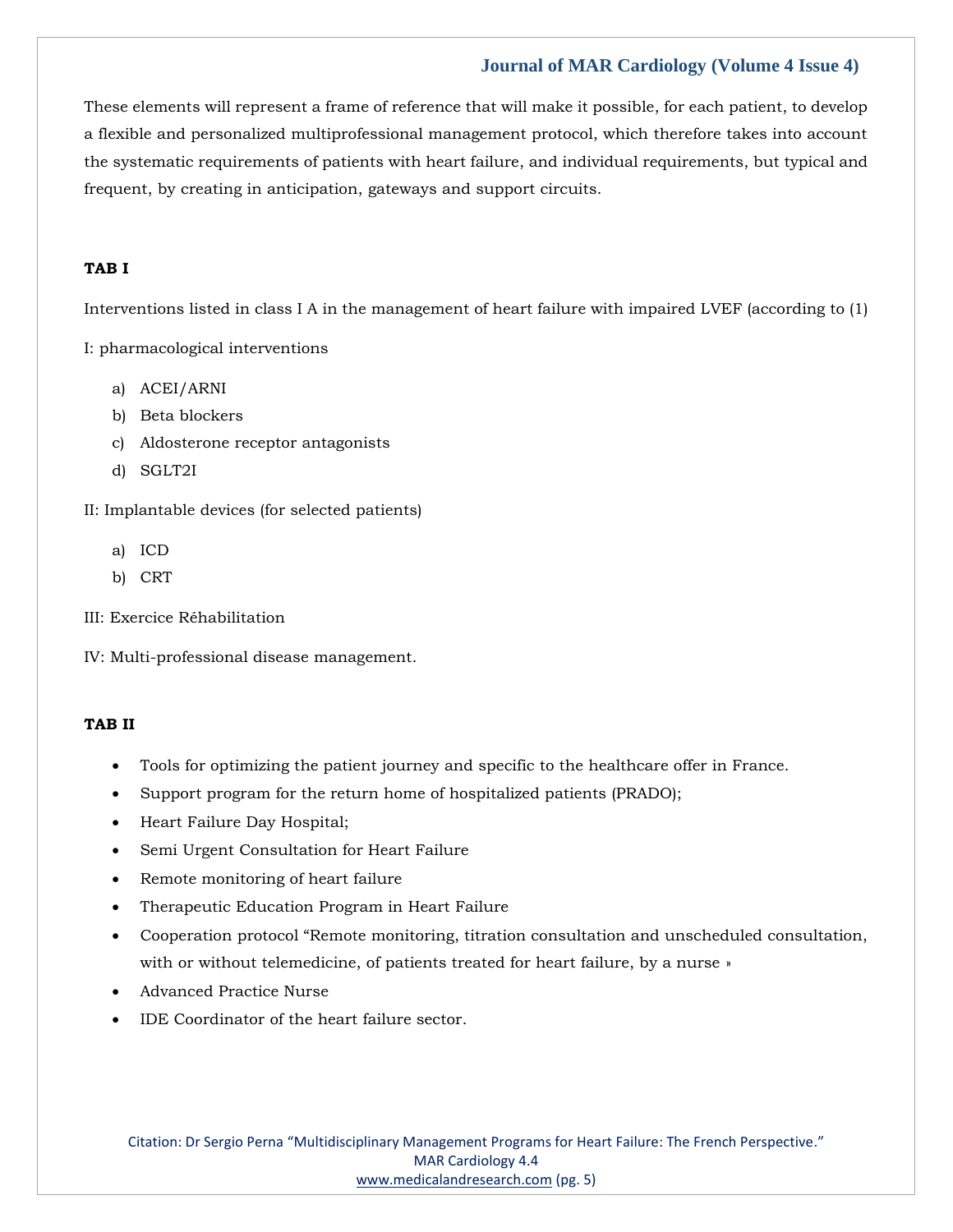These elements will represent a frame of reference that will make it possible, for each patient, to develop a flexible and personalized multiprofessional management protocol, which therefore takes into account the systematic requirements of patients with heart failure, and individual requirements, but typical and frequent, by creating in anticipation, gateways and support circuits.

#### **TAB I**

Interventions listed in class I A in the management of heart failure with impaired LVEF (according to (1)

I: pharmacological interventions

- a) ACEI/ARNI
- b) Beta blockers
- c) Aldosterone receptor antagonists
- d) SGLT2I

II: Implantable devices (for selected patients)

- a) ICD
- b) CRT
- III: Exercice Réhabilitation
- IV: Multi-professional disease management.

#### **TAB II**

- Tools for optimizing the patient journey and specific to the healthcare offer in France.
- Support program for the return home of hospitalized patients (PRADO);
- Heart Failure Day Hospital;
- Semi Urgent Consultation for Heart Failure
- Remote monitoring of heart failure
- Therapeutic Education Program in Heart Failure
- Cooperation protocol "Remote monitoring, titration consultation and unscheduled consultation, with or without telemedicine, of patients treated for heart failure, by a nurse »
- Advanced Practice Nurse
- IDE Coordinator of the heart failure sector.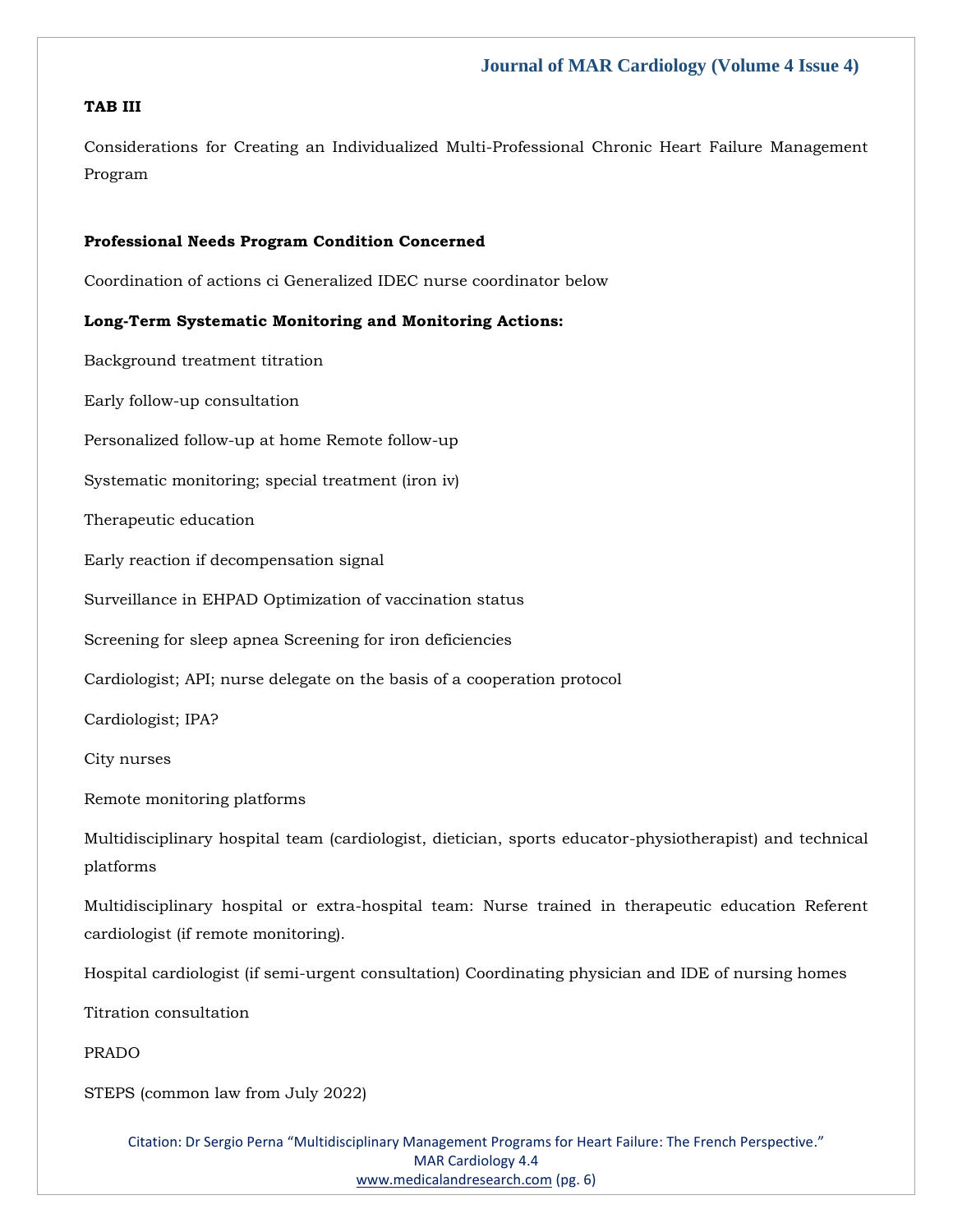### **TAB III**

Considerations for Creating an Individualized Multi-Professional Chronic Heart Failure Management Program

#### **Professional Needs Program Condition Concerned**

Coordination of actions ci Generalized IDEC nurse coordinator below

#### **Long-Term Systematic Monitoring and Monitoring Actions:**

Background treatment titration Early follow-up consultation Personalized follow-up at home Remote follow-up Systematic monitoring; special treatment (iron iv) Therapeutic education Early reaction if decompensation signal Surveillance in EHPAD Optimization of vaccination status Screening for sleep apnea Screening for iron deficiencies Cardiologist; API; nurse delegate on the basis of a cooperation protocol Cardiologist; IPA? City nurses Remote monitoring platforms Multidisciplinary hospital team (cardiologist, dietician, sports educator-physiotherapist) and technical platforms Multidisciplinary hospital or extra-hospital team: Nurse trained in therapeutic education Referent cardiologist (if remote monitoring). Hospital cardiologist (if semi-urgent consultation) Coordinating physician and IDE of nursing homes Titration consultation PRADO

STEPS (common law from July 2022)

Citation: Dr Sergio Perna "Multidisciplinary Management Programs for Heart Failure: The French Perspective." MAR Cardiology 4.4 [www.medicalandresearch.com](http://www.medicalandresearch.com/) (pg. 6)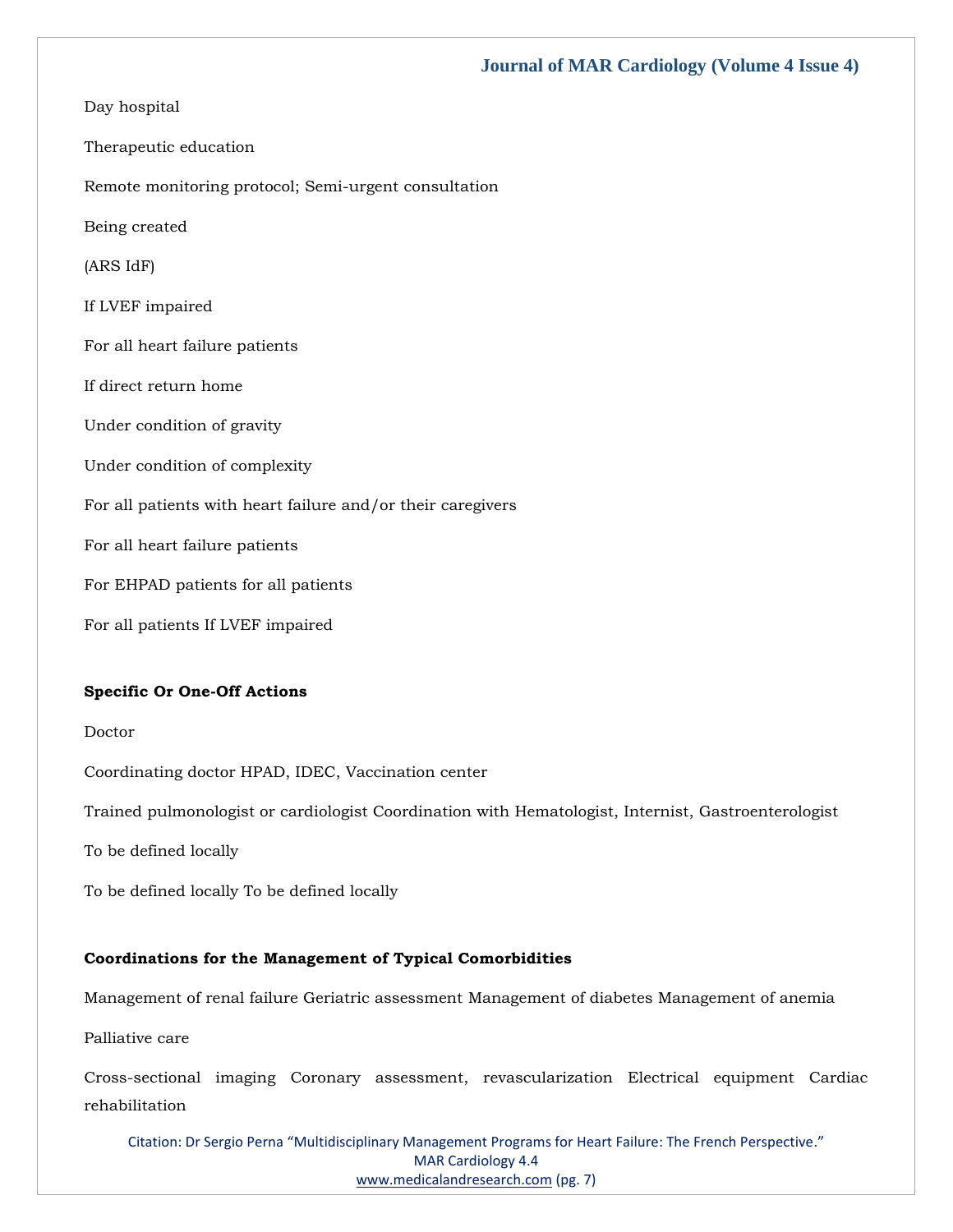Day hospital Therapeutic education Remote monitoring protocol; Semi-urgent consultation Being created (ARS IdF) If LVEF impaired For all heart failure patients If direct return home Under condition of gravity Under condition of complexity For all patients with heart failure and/or their caregivers For all heart failure patients For EHPAD patients for all patients For all patients If LVEF impaired

#### **Specific Or One-Off Actions**

Doctor

Coordinating doctor HPAD, IDEC, Vaccination center

Trained pulmonologist or cardiologist Coordination with Hematologist, Internist, Gastroenterologist

To be defined locally

To be defined locally To be defined locally

#### **Coordinations for the Management of Typical Comorbidities**

Management of renal failure Geriatric assessment Management of diabetes Management of anemia

Palliative care

Cross-sectional imaging Coronary assessment, revascularization Electrical equipment Cardiac rehabilitation

Citation: Dr Sergio Perna "Multidisciplinary Management Programs for Heart Failure: The French Perspective." MAR Cardiology 4.4 [www.medicalandresearch.com](http://www.medicalandresearch.com/) (pg. 7)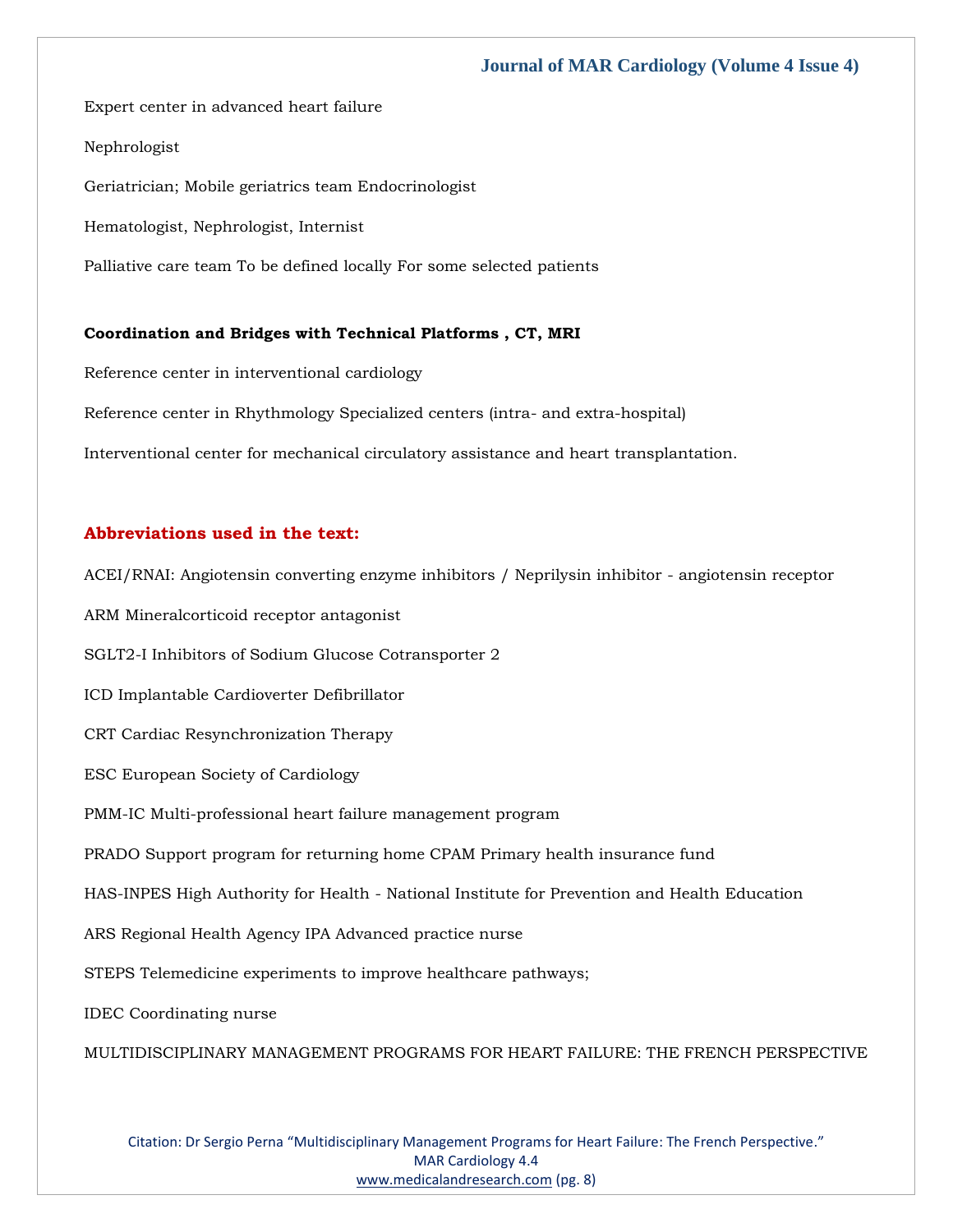Expert center in advanced heart failure

#### Nephrologist

Geriatrician; Mobile geriatrics team Endocrinologist

Hematologist, Nephrologist, Internist

Palliative care team To be defined locally For some selected patients

#### **Coordination and Bridges with Technical Platforms , CT, MRI**

Reference center in interventional cardiology Reference center in Rhythmology Specialized centers (intra- and extra-hospital) Interventional center for mechanical circulatory assistance and heart transplantation.

#### **Abbreviations used in the text:**

ACEI/RNAI: Angiotensin converting enzyme inhibitors / Neprilysin inhibitor - angiotensin receptor ARM Mineralcorticoid receptor antagonist SGLT2-I Inhibitors of Sodium Glucose Cotransporter 2 ICD Implantable Cardioverter Defibrillator CRT Cardiac Resynchronization Therapy ESC European Society of Cardiology PMM-IC Multi-professional heart failure management program PRADO Support program for returning home CPAM Primary health insurance fund HAS-INPES High Authority for Health - National Institute for Prevention and Health Education ARS Regional Health Agency IPA Advanced practice nurse STEPS Telemedicine experiments to improve healthcare pathways; IDEC Coordinating nurse MULTIDISCIPLINARY MANAGEMENT PROGRAMS FOR HEART FAILURE: THE FRENCH PERSPECTIVE

Citation: Dr Sergio Perna "Multidisciplinary Management Programs for Heart Failure: The French Perspective." MAR Cardiology 4.4 [www.medicalandresearch.com](http://www.medicalandresearch.com/) (pg. 8)